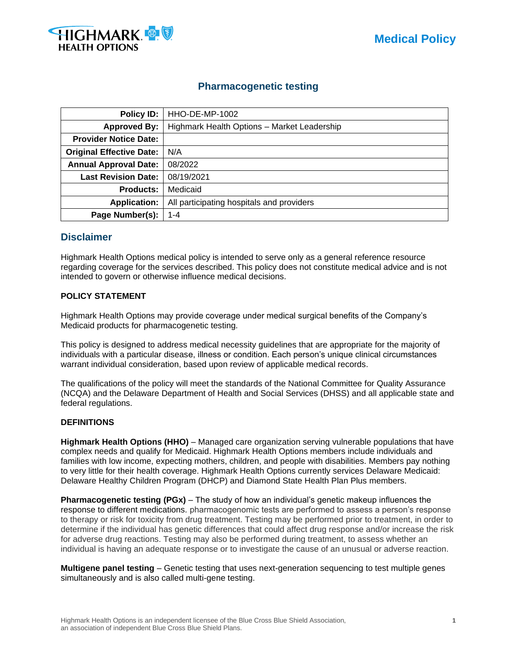

# **Pharmacogenetic testing**

| Policy ID:                      | <b>HHO-DE-MP-1002</b>                       |
|---------------------------------|---------------------------------------------|
| <b>Approved By:</b>             | Highmark Health Options - Market Leadership |
| <b>Provider Notice Date:</b>    |                                             |
| <b>Original Effective Date:</b> | N/A                                         |
| <b>Annual Approval Date:</b>    | 08/2022                                     |
| <b>Last Revision Date:</b>      | 08/19/2021                                  |
| <b>Products:</b>                | Medicaid                                    |
| <b>Application:</b>             | All participating hospitals and providers   |
| Page Number(s):                 | $1 - 4$                                     |

# **Disclaimer**

Highmark Health Options medical policy is intended to serve only as a general reference resource regarding coverage for the services described. This policy does not constitute medical advice and is not intended to govern or otherwise influence medical decisions.

### **POLICY STATEMENT**

Highmark Health Options may provide coverage under medical surgical benefits of the Company's Medicaid products for pharmacogenetic testing.

This policy is designed to address medical necessity guidelines that are appropriate for the majority of individuals with a particular disease, illness or condition. Each person's unique clinical circumstances warrant individual consideration, based upon review of applicable medical records.

The qualifications of the policy will meet the standards of the National Committee for Quality Assurance (NCQA) and the Delaware Department of Health and Social Services (DHSS) and all applicable state and federal regulations.

### **DEFINITIONS**

**Highmark Health Options (HHO)** – Managed care organization serving vulnerable populations that have complex needs and qualify for Medicaid. Highmark Health Options members include individuals and families with low income, expecting mothers, children, and people with disabilities. Members pay nothing to very little for their health coverage. Highmark Health Options currently services Delaware Medicaid: Delaware Healthy Children Program (DHCP) and Diamond State Health Plan Plus members.

**Pharmacogenetic testing (PGx)** – The study of how an individual's genetic makeup influences the response to different medications. pharmacogenomic tests are performed to assess a person's response to therapy or risk for toxicity from drug treatment. Testing may be performed prior to treatment, in order to determine if the individual has genetic differences that could affect drug response and/or increase the risk for adverse drug reactions. Testing may also be performed during treatment, to assess whether an individual is having an adequate response or to investigate the cause of an unusual or adverse reaction.

**Multigene panel testing** – Genetic testing that uses next-generation sequencing to test multiple genes simultaneously and is also called multi-gene testing.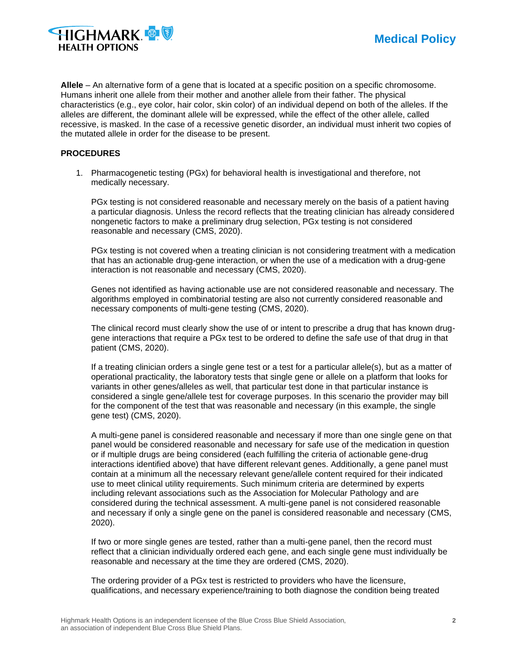

**Allele** – An alternative form of a gene that is located at a specific position on a specific chromosome. Humans inherit one allele from their mother and another allele from their father. The physical characteristics (e.g., eye color, hair color, skin color) of an individual depend on both of the alleles. If the alleles are different, the dominant allele will be expressed, while the effect of the other allele, called recessive, is masked. In the case of a recessive genetic disorder, an individual must inherit two copies of the mutated allele in order for the disease to be present.

## **PROCEDURES**

1. Pharmacogenetic testing (PGx) for behavioral health is investigational and therefore, not medically necessary.

PGx testing is not considered reasonable and necessary merely on the basis of a patient having a particular diagnosis. Unless the record reflects that the treating clinician has already considered nongenetic factors to make a preliminary drug selection, PGx testing is not considered reasonable and necessary (CMS, 2020).

PGx testing is not covered when a treating clinician is not considering treatment with a medication that has an actionable drug-gene interaction, or when the use of a medication with a drug-gene interaction is not reasonable and necessary (CMS, 2020).

Genes not identified as having actionable use are not considered reasonable and necessary. The algorithms employed in combinatorial testing are also not currently considered reasonable and necessary components of multi-gene testing (CMS, 2020).

The clinical record must clearly show the use of or intent to prescribe a drug that has known druggene interactions that require a PGx test to be ordered to define the safe use of that drug in that patient (CMS, 2020).

If a treating clinician orders a single gene test or a test for a particular allele(s), but as a matter of operational practicality, the laboratory tests that single gene or allele on a platform that looks for variants in other genes/alleles as well, that particular test done in that particular instance is considered a single gene/allele test for coverage purposes. In this scenario the provider may bill for the component of the test that was reasonable and necessary (in this example, the single gene test) (CMS, 2020).

A multi-gene panel is considered reasonable and necessary if more than one single gene on that panel would be considered reasonable and necessary for safe use of the medication in question or if multiple drugs are being considered (each fulfilling the criteria of actionable gene-drug interactions identified above) that have different relevant genes. Additionally, a gene panel must contain at a minimum all the necessary relevant gene/allele content required for their indicated use to meet clinical utility requirements. Such minimum criteria are determined by experts including relevant associations such as the Association for Molecular Pathology and are considered during the technical assessment. A multi-gene panel is not considered reasonable and necessary if only a single gene on the panel is considered reasonable and necessary (CMS, 2020).

If two or more single genes are tested, rather than a multi-gene panel, then the record must reflect that a clinician individually ordered each gene, and each single gene must individually be reasonable and necessary at the time they are ordered (CMS, 2020).

The ordering provider of a PGx test is restricted to providers who have the licensure, qualifications, and necessary experience/training to both diagnose the condition being treated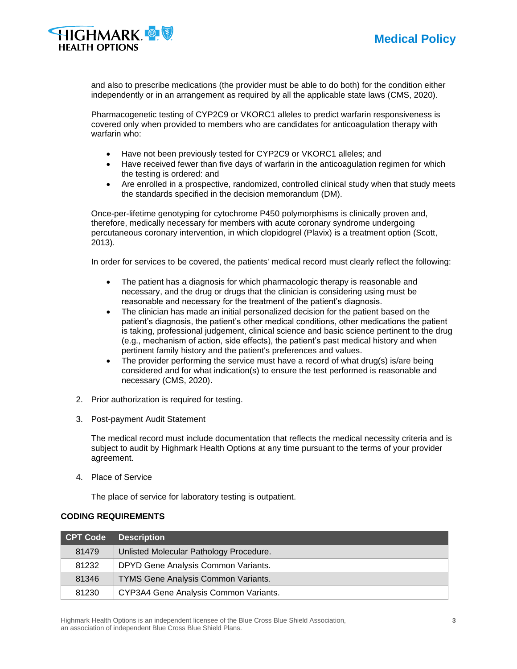



and also to prescribe medications (the provider must be able to do both) for the condition either independently or in an arrangement as required by all the applicable state laws (CMS, 2020).

Pharmacogenetic testing of CYP2C9 or VKORC1 alleles to predict warfarin responsiveness is covered only when provided to members who are candidates for anticoagulation therapy with warfarin who:

- Have not been previously tested for CYP2C9 or VKORC1 alleles; and
- Have received fewer than five days of warfarin in the anticoagulation regimen for which the testing is ordered: and
- Are enrolled in a prospective, randomized, controlled clinical study when that study meets the standards specified in the decision memorandum (DM).

Once-per-lifetime genotyping for cytochrome P450 polymorphisms is clinically proven and, therefore, medically necessary for members with acute coronary syndrome undergoing percutaneous coronary intervention, in which clopidogrel (Plavix) is a treatment option (Scott, 2013).

In order for services to be covered, the patients' medical record must clearly reflect the following:

- The patient has a diagnosis for which pharmacologic therapy is reasonable and necessary, and the drug or drugs that the clinician is considering using must be reasonable and necessary for the treatment of the patient's diagnosis.
- The clinician has made an initial personalized decision for the patient based on the patient's diagnosis, the patient's other medical conditions, other medications the patient is taking, professional judgement, clinical science and basic science pertinent to the drug (e.g., mechanism of action, side effects), the patient's past medical history and when pertinent family history and the patient's preferences and values.
- The provider performing the service must have a record of what drug(s) is/are being considered and for what indication(s) to ensure the test performed is reasonable and necessary (CMS, 2020).
- 2. Prior authorization is required for testing.
- 3. Post-payment Audit Statement

The medical record must include documentation that reflects the medical necessity criteria and is subject to audit by Highmark Health Options at any time pursuant to the terms of your provider agreement.

4. Place of Service

The place of service for laboratory testing is outpatient.

## **CODING REQUIREMENTS**

| CPT Code | <b>Description</b>                      |
|----------|-----------------------------------------|
| 81479    | Unlisted Molecular Pathology Procedure. |
| 81232    | DPYD Gene Analysis Common Variants.     |
| 81346    | TYMS Gene Analysis Common Variants.     |
| 81230    | CYP3A4 Gene Analysis Common Variants.   |

Highmark Health Options is an independent licensee of the Blue Cross Blue Shield Association, **3** an association of independent Blue Cross Blue Shield Plans.